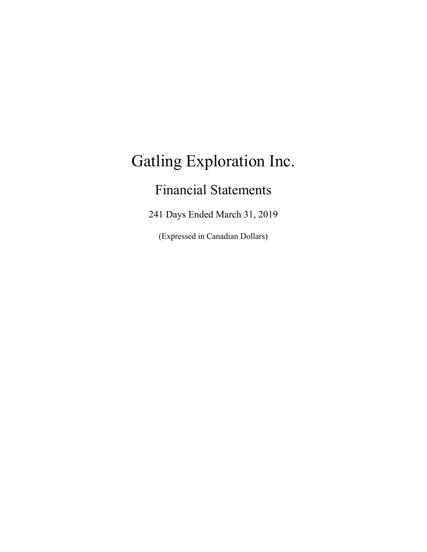# Gatling Exploration Inc.

# Financial Statements

241 Days Ended March 31, 2019

(Expressed in Canadian Dollars)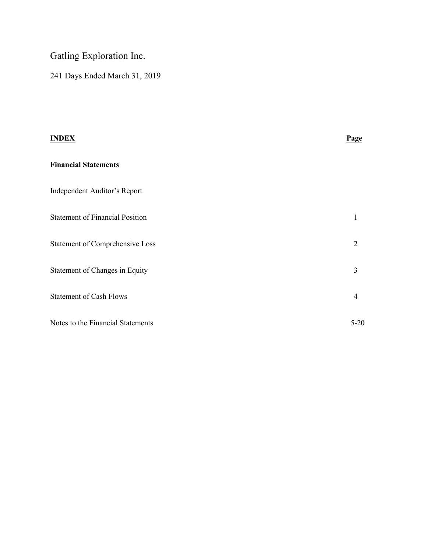Gatling Exploration Inc.

241 Days Ended March 31, 2019

| <b>INDEX</b>                           | <b>Page</b>    |
|----------------------------------------|----------------|
| <b>Financial Statements</b>            |                |
| Independent Auditor's Report           |                |
| <b>Statement of Financial Position</b> | $\mathbf{1}$   |
| <b>Statement of Comprehensive Loss</b> | $\overline{2}$ |
| Statement of Changes in Equity         | 3              |
| <b>Statement of Cash Flows</b>         | $\overline{4}$ |
| Notes to the Financial Statements      | $5 - 20$       |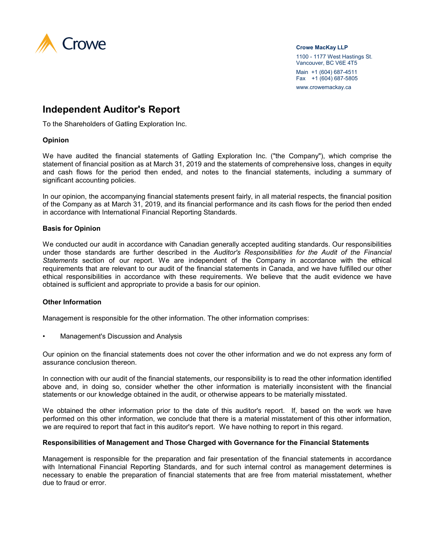

**Crowe MacKay LLP** 1100 - 1177 West Hastings St. Vancouver, BC V6E 4T5 Main +1 (604) 687-4511 Fax +1 (604) 687-5805

www.crowemackay.ca

# **Independent Auditor's Report**

To the Shareholders of Gatling Exploration Inc.

# **Opinion**

We have audited the financial statements of Gatling Exploration Inc. ("the Company"), which comprise the statement of financial position as at March 31, 2019 and the statements of comprehensive loss, changes in equity and cash flows for the period then ended, and notes to the financial statements, including a summary of significant accounting policies.

In our opinion, the accompanying financial statements present fairly, in all material respects, the financial position of the Company as at March 31, 2019, and its financial performance and its cash flows for the period then ended in accordance with International Financial Reporting Standards.

# **Basis for Opinion**

We conducted our audit in accordance with Canadian generally accepted auditing standards. Our responsibilities under those standards are further described in the *Auditor's Responsibilities for the Audit of the Financial Statements* section of our report. We are independent of the Company in accordance with the ethical requirements that are relevant to our audit of the financial statements in Canada, and we have fulfilled our other ethical responsibilities in accordance with these requirements. We believe that the audit evidence we have obtained is sufficient and appropriate to provide a basis for our opinion.

# **Other Information**

Management is responsible for the other information. The other information comprises:

• Management's Discussion and Analysis

Our opinion on the financial statements does not cover the other information and we do not express any form of assurance conclusion thereon.

In connection with our audit of the financial statements, our responsibility is to read the other information identified above and, in doing so, consider whether the other information is materially inconsistent with the financial statements or our knowledge obtained in the audit, or otherwise appears to be materially misstated.

We obtained the other information prior to the date of this auditor's report. If, based on the work we have performed on this other information, we conclude that there is a material misstatement of this other information, we are required to report that fact in this auditor's report. We have nothing to report in this regard.

# **Responsibilities of Management and Those Charged with Governance for the Financial Statements**

Management is responsible for the preparation and fair presentation of the financial statements in accordance with International Financial Reporting Standards, and for such internal control as management determines is necessary to enable the preparation of financial statements that are free from material misstatement, whether due to fraud or error.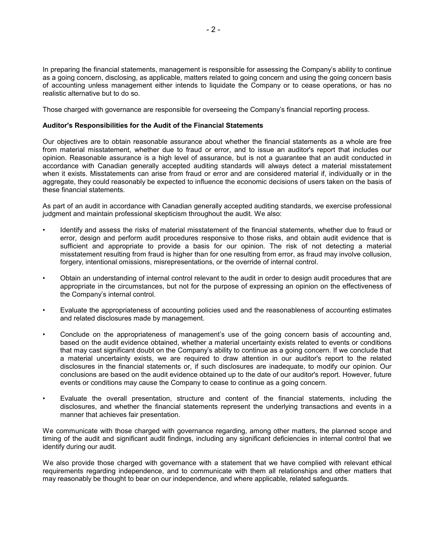In preparing the financial statements, management is responsible for assessing the Company's ability to continue as a going concern, disclosing, as applicable, matters related to going concern and using the going concern basis of accounting unless management either intends to liquidate the Company or to cease operations, or has no realistic alternative but to do so.

Those charged with governance are responsible for overseeing the Company's financial reporting process.

# **Auditor's Responsibilities for the Audit of the Financial Statements**

Our objectives are to obtain reasonable assurance about whether the financial statements as a whole are free from material misstatement, whether due to fraud or error, and to issue an auditor's report that includes our opinion. Reasonable assurance is a high level of assurance, but is not a guarantee that an audit conducted in accordance with Canadian generally accepted auditing standards will always detect a material misstatement when it exists. Misstatements can arise from fraud or error and are considered material if, individually or in the aggregate, they could reasonably be expected to influence the economic decisions of users taken on the basis of these financial statements.

As part of an audit in accordance with Canadian generally accepted auditing standards, we exercise professional judgment and maintain professional skepticism throughout the audit. We also:

- Identify and assess the risks of material misstatement of the financial statements, whether due to fraud or error, design and perform audit procedures responsive to those risks, and obtain audit evidence that is sufficient and appropriate to provide a basis for our opinion. The risk of not detecting a material misstatement resulting from fraud is higher than for one resulting from error, as fraud may involve collusion, forgery, intentional omissions, misrepresentations, or the override of internal control.
- Obtain an understanding of internal control relevant to the audit in order to design audit procedures that are appropriate in the circumstances, but not for the purpose of expressing an opinion on the effectiveness of the Company's internal control.
- Evaluate the appropriateness of accounting policies used and the reasonableness of accounting estimates and related disclosures made by management.
- Conclude on the appropriateness of management's use of the going concern basis of accounting and, based on the audit evidence obtained, whether a material uncertainty exists related to events or conditions that may cast significant doubt on the Company's ability to continue as a going concern. If we conclude that a material uncertainty exists, we are required to draw attention in our auditor's report to the related disclosures in the financial statements or, if such disclosures are inadequate, to modify our opinion. Our conclusions are based on the audit evidence obtained up to the date of our auditor's report. However, future events or conditions may cause the Company to cease to continue as a going concern.
- Evaluate the overall presentation, structure and content of the financial statements, including the disclosures, and whether the financial statements represent the underlying transactions and events in a manner that achieves fair presentation.

We communicate with those charged with governance regarding, among other matters, the planned scope and timing of the audit and significant audit findings, including any significant deficiencies in internal control that we identify during our audit.

We also provide those charged with governance with a statement that we have complied with relevant ethical requirements regarding independence, and to communicate with them all relationships and other matters that may reasonably be thought to bear on our independence, and where applicable, related safeguards.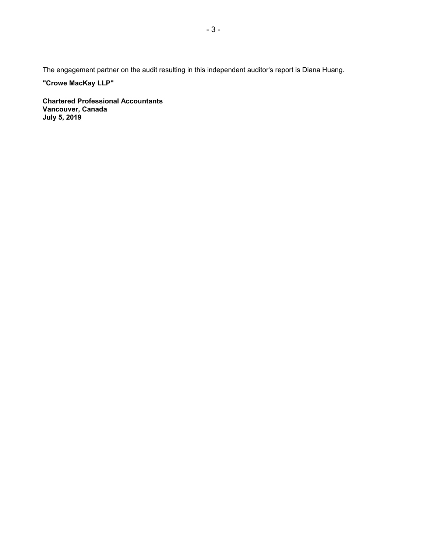The engagement partner on the audit resulting in this independent auditor's report is Diana Huang.

**"Crowe MacKay LLP"**

**Chartered Professional Accountants Vancouver, Canada July 5, 2019**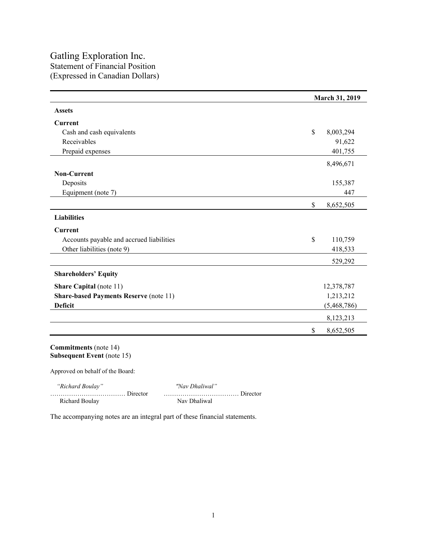# Gatling Exploration Inc. Statement of Financial Position (Expressed in Canadian Dollars)

|                                               |               | March 31, 2019 |  |
|-----------------------------------------------|---------------|----------------|--|
| <b>Assets</b>                                 |               |                |  |
| <b>Current</b>                                |               |                |  |
| Cash and cash equivalents                     | $\mathsf{\$}$ | 8,003,294      |  |
| Receivables                                   |               | 91,622         |  |
| Prepaid expenses                              |               | 401,755        |  |
|                                               |               | 8,496,671      |  |
| <b>Non-Current</b>                            |               |                |  |
| Deposits                                      |               | 155,387        |  |
| Equipment (note 7)                            |               | 447            |  |
|                                               | \$            | 8,652,505      |  |
| <b>Liabilities</b>                            |               |                |  |
| <b>Current</b>                                |               |                |  |
| Accounts payable and accrued liabilities      | \$            | 110,759        |  |
| Other liabilities (note 9)                    |               | 418,533        |  |
|                                               |               | 529,292        |  |
| <b>Shareholders' Equity</b>                   |               |                |  |
| <b>Share Capital (note 11)</b>                |               | 12,378,787     |  |
| <b>Share-based Payments Reserve (note 11)</b> |               | 1,213,212      |  |
| <b>Deficit</b>                                |               | (5,468,786)    |  |
|                                               |               | 8,123,213      |  |
|                                               | \$            | 8,652,505      |  |

# **Commitments** (note 14) **Subsequent Event** (note 15)

Approved on behalf of the Board:

| "Richard Boulay" | "Nav Dhaliwal" |
|------------------|----------------|
| Director         |                |
| Richard Boulay   | Nav Dhaliwal   |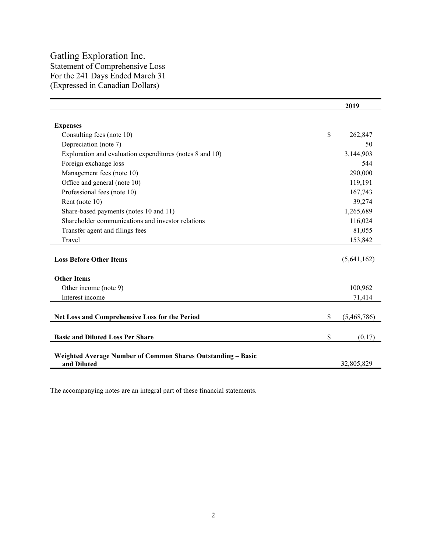# Gatling Exploration Inc. Statement of Comprehensive Loss For the 241 Days Ended March 31 (Expressed in Canadian Dollars)

|                                                              | 2019              |
|--------------------------------------------------------------|-------------------|
|                                                              |                   |
| <b>Expenses</b>                                              |                   |
| Consulting fees (note 10)                                    | \$<br>262,847     |
| Depreciation (note 7)                                        | 50                |
| Exploration and evaluation expenditures (notes 8 and 10)     | 3,144,903         |
| Foreign exchange loss                                        | 544               |
| Management fees (note 10)                                    | 290,000           |
| Office and general (note 10)                                 | 119,191           |
| Professional fees (note 10)                                  | 167,743           |
| Rent (note 10)                                               | 39,274            |
| Share-based payments (notes 10 and 11)                       | 1,265,689         |
| Shareholder communications and investor relations            | 116,024           |
| Transfer agent and filings fees                              | 81,055            |
| Travel                                                       | 153,842           |
|                                                              |                   |
| <b>Loss Before Other Items</b>                               | (5,641,162)       |
|                                                              |                   |
| <b>Other Items</b>                                           |                   |
| Other income (note 9)                                        | 100,962           |
| Interest income                                              | 71,414            |
|                                                              |                   |
| Net Loss and Comprehensive Loss for the Period               | \$<br>(5,468,786) |
|                                                              |                   |
| <b>Basic and Diluted Loss Per Share</b>                      | \$<br>(0.17)      |
|                                                              |                   |
| Weighted Average Number of Common Shares Outstanding - Basic |                   |
| and Diluted                                                  | 32,805,829        |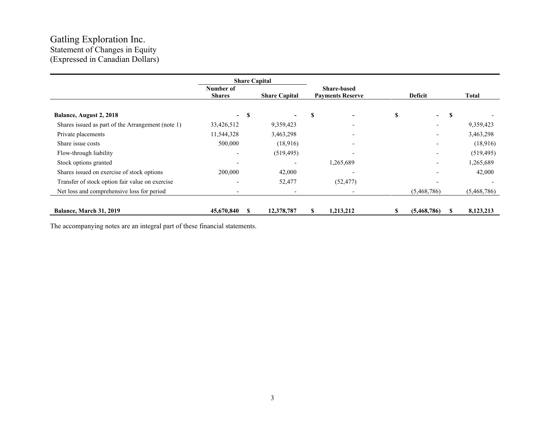# Gatling Exploration Inc. Statement of Changes in Equity (Expressed in Canadian Dollars)

|                                                   |                            |      | <b>Share Capital</b> |                                               |           |   |                          |          |             |
|---------------------------------------------------|----------------------------|------|----------------------|-----------------------------------------------|-----------|---|--------------------------|----------|-------------|
|                                                   | Number of<br><b>Shares</b> |      | <b>Share Capital</b> | <b>Share-based</b><br><b>Payments Reserve</b> |           |   | Deficit                  |          | Total       |
| <b>Balance, August 2, 2018</b>                    | $\sim$ $ \sim$             | - \$ | $\blacksquare$       | S                                             |           | S | $\sim$                   | <b>S</b> |             |
| Shares issued as part of the Arrangement (note 1) | 33,426,512                 |      | 9,359,423            |                                               |           |   | $\overline{\phantom{0}}$ |          | 9,359,423   |
| Private placements                                | 11,544,328                 |      | 3,463,298            |                                               |           |   | $\overline{\phantom{0}}$ |          | 3,463,298   |
| Share issue costs                                 | 500,000                    |      | (18,916)             |                                               |           |   | $\overline{\phantom{a}}$ |          | (18,916)    |
| Flow-through liability                            |                            |      | (519, 495)           |                                               |           |   |                          |          | (519, 495)  |
| Stock options granted                             |                            |      |                      |                                               | 1,265,689 |   | $\overline{\phantom{a}}$ |          | 1,265,689   |
| Shares issued on exercise of stock options        | 200,000                    |      | 42,000               |                                               |           |   |                          |          | 42,000      |
| Transfer of stock option fair value on exercise   | $\overline{\phantom{a}}$   |      | 52,477               |                                               | (52, 477) |   | $\overline{\phantom{0}}$ |          |             |
| Net loss and comprehensive loss for period        |                            |      |                      |                                               |           |   | (5,468,786)              |          | (5,468,786) |
|                                                   |                            |      |                      |                                               |           |   |                          |          |             |
| Balance, March 31, 2019                           | 45,670,840                 |      | 12,378,787           | \$.                                           | 1,213,212 | S | (5,468,786)              | -SS      | 8,123,213   |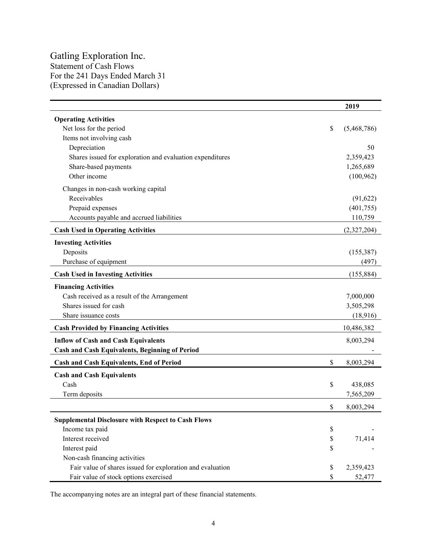# Gatling Exploration Inc. Statement of Cash Flows For the 241 Days Ended March 31 (Expressed in Canadian Dollars)

|                                                            | 2019              |
|------------------------------------------------------------|-------------------|
| <b>Operating Activities</b>                                |                   |
| Net loss for the period                                    | \$<br>(5,468,786) |
| Items not involving cash                                   |                   |
| Depreciation                                               | 50                |
| Shares issued for exploration and evaluation expenditures  | 2,359,423         |
| Share-based payments                                       | 1,265,689         |
| Other income                                               | (100, 962)        |
| Changes in non-cash working capital                        |                   |
| Receivables                                                | (91, 622)         |
| Prepaid expenses                                           | (401, 755)        |
| Accounts payable and accrued liabilities                   | 110,759           |
| <b>Cash Used in Operating Activities</b>                   | (2,327,204)       |
| <b>Investing Activities</b>                                |                   |
| Deposits                                                   | (155, 387)        |
| Purchase of equipment                                      | (497)             |
| <b>Cash Used in Investing Activities</b>                   | (155, 884)        |
| <b>Financing Activities</b>                                |                   |
| Cash received as a result of the Arrangement               | 7,000,000         |
| Shares issued for cash                                     | 3,505,298         |
| Share issuance costs                                       | (18,916)          |
| <b>Cash Provided by Financing Activities</b>               | 10,486,382        |
| <b>Inflow of Cash and Cash Equivalents</b>                 | 8,003,294         |
| <b>Cash and Cash Equivalents, Beginning of Period</b>      |                   |
| <b>Cash and Cash Equivalents, End of Period</b>            | \$<br>8,003,294   |
| <b>Cash and Cash Equivalents</b>                           |                   |
| Cash                                                       | \$<br>438,085     |
| Term deposits                                              | 7,565,209         |
|                                                            | \$<br>8,003,294   |
| <b>Supplemental Disclosure with Respect to Cash Flows</b>  |                   |
| Income tax paid                                            | \$                |
| Interest received                                          | \$<br>71,414      |
| Interest paid                                              | \$                |
| Non-cash financing activities                              |                   |
| Fair value of shares issued for exploration and evaluation | \$<br>2,359,423   |
| Fair value of stock options exercised                      | \$<br>52,477      |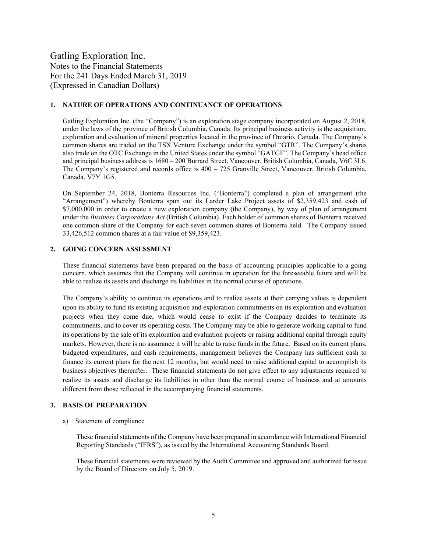#### **1. NATURE OF OPERATIONS AND CONTINUANCE OF OPERATIONS**

Gatling Exploration Inc. (the "Company") is an exploration stage company incorporated on August 2, 2018, under the laws of the province of British Columbia, Canada. Its principal business activity is the acquisition, exploration and evaluation of mineral properties located in the province of Ontario, Canada. The Company's common shares are traded on the TSX Venture Exchange under the symbol "GTR". The Company's shares also trade on the OTC Exchange in the United States under the symbol "GATGF". The Company's head office and principal business address is 1680 – 200 Burrard Street, Vancouver, British Columbia, Canada, V6C 3L6. The Company's registered and records office is 400 – 725 Granville Street, Vancouver, British Columbia, Canada, V7Y 1G5.

On September 24, 2018, Bonterra Resources Inc. ("Bonterra") completed a plan of arrangement (the "Arrangement") whereby Bonterra spun out its Larder Lake Project assets of \$2,359,423 and cash of \$7,000,000 in order to create a new exploration company (the Company), by way of plan of arrangement under the *Business Corporations Act* (British Columbia). Each holder of common shares of Bonterra received one common share of the Company for each seven common shares of Bonterra held. The Company issued 33,426,512 common shares at a fair value of \$9,359,423.

#### **2. GOING CONCERN ASSESSMENT**

These financial statements have been prepared on the basis of accounting principles applicable to a going concern, which assumes that the Company will continue in operation for the foreseeable future and will be able to realize its assets and discharge its liabilities in the normal course of operations.

The Company's ability to continue its operations and to realize assets at their carrying values is dependent upon its ability to fund its existing acquisition and exploration commitments on its exploration and evaluation projects when they come due, which would cease to exist if the Company decides to terminate its commitments, and to cover its operating costs. The Company may be able to generate working capital to fund its operations by the sale of its exploration and evaluation projects or raising additional capital through equity markets. However, there is no assurance it will be able to raise funds in the future. Based on its current plans, budgeted expenditures, and cash requirements, management believes the Company has sufficient cash to finance its current plans for the next 12 months, but would need to raise additional capital to accomplish its business objectives thereafter. These financial statements do not give effect to any adjustments required to realize its assets and discharge its liabilities in other than the normal course of business and at amounts different from those reflected in the accompanying financial statements.

#### **3. BASIS OF PREPARATION**

a) Statement of compliance

These financial statements of the Company have been prepared in accordance with International Financial Reporting Standards ("IFRS"), as issued by the International Accounting Standards Board.

These financial statements were reviewed by the Audit Committee and approved and authorized for issue by the Board of Directors on July 5, 2019.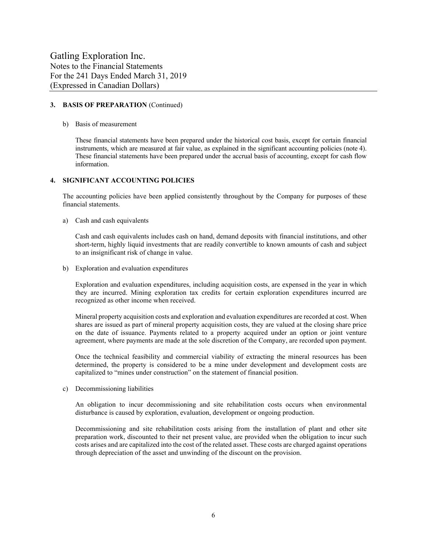#### **3. BASIS OF PREPARATION** (Continued)

b) Basis of measurement

These financial statements have been prepared under the historical cost basis, except for certain financial instruments, which are measured at fair value, as explained in the significant accounting policies (note 4). These financial statements have been prepared under the accrual basis of accounting, except for cash flow information.

#### **4. SIGNIFICANT ACCOUNTING POLICIES**

The accounting policies have been applied consistently throughout by the Company for purposes of these financial statements.

a) Cash and cash equivalents

Cash and cash equivalents includes cash on hand, demand deposits with financial institutions, and other short-term, highly liquid investments that are readily convertible to known amounts of cash and subject to an insignificant risk of change in value.

b) Exploration and evaluation expenditures

Exploration and evaluation expenditures, including acquisition costs, are expensed in the year in which they are incurred. Mining exploration tax credits for certain exploration expenditures incurred are recognized as other income when received.

Mineral property acquisition costs and exploration and evaluation expenditures are recorded at cost. When shares are issued as part of mineral property acquisition costs, they are valued at the closing share price on the date of issuance. Payments related to a property acquired under an option or joint venture agreement, where payments are made at the sole discretion of the Company, are recorded upon payment.

Once the technical feasibility and commercial viability of extracting the mineral resources has been determined, the property is considered to be a mine under development and development costs are capitalized to "mines under construction" on the statement of financial position.

c) Decommissioning liabilities

An obligation to incur decommissioning and site rehabilitation costs occurs when environmental disturbance is caused by exploration, evaluation, development or ongoing production.

Decommissioning and site rehabilitation costs arising from the installation of plant and other site preparation work, discounted to their net present value, are provided when the obligation to incur such costs arises and are capitalized into the cost of the related asset. These costs are charged against operations through depreciation of the asset and unwinding of the discount on the provision.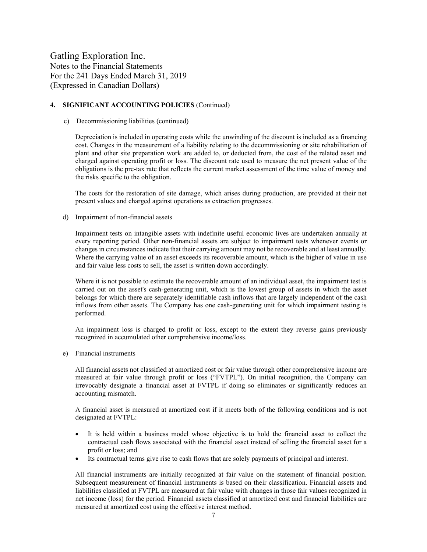#### **4. SIGNIFICANT ACCOUNTING POLICIES** (Continued)

#### c) Decommissioning liabilities (continued)

Depreciation is included in operating costs while the unwinding of the discount is included as a financing cost. Changes in the measurement of a liability relating to the decommissioning or site rehabilitation of plant and other site preparation work are added to, or deducted from, the cost of the related asset and charged against operating profit or loss. The discount rate used to measure the net present value of the obligations is the pre-tax rate that reflects the current market assessment of the time value of money and the risks specific to the obligation.

The costs for the restoration of site damage, which arises during production, are provided at their net present values and charged against operations as extraction progresses.

d) Impairment of non-financial assets

Impairment tests on intangible assets with indefinite useful economic lives are undertaken annually at every reporting period. Other non-financial assets are subject to impairment tests whenever events or changes in circumstances indicate that their carrying amount may not be recoverable and at least annually. Where the carrying value of an asset exceeds its recoverable amount, which is the higher of value in use and fair value less costs to sell, the asset is written down accordingly.

Where it is not possible to estimate the recoverable amount of an individual asset, the impairment test is carried out on the asset's cash-generating unit, which is the lowest group of assets in which the asset belongs for which there are separately identifiable cash inflows that are largely independent of the cash inflows from other assets. The Company has one cash-generating unit for which impairment testing is performed.

An impairment loss is charged to profit or loss, except to the extent they reverse gains previously recognized in accumulated other comprehensive income/loss.

e) Financial instruments

All financial assets not classified at amortized cost or fair value through other comprehensive income are measured at fair value through profit or loss ("FVTPL"). On initial recognition, the Company can irrevocably designate a financial asset at FVTPL if doing so eliminates or significantly reduces an accounting mismatch.

A financial asset is measured at amortized cost if it meets both of the following conditions and is not designated at FVTPL:

- It is held within a business model whose objective is to hold the financial asset to collect the contractual cash flows associated with the financial asset instead of selling the financial asset for a profit or loss; and
- Its contractual terms give rise to cash flows that are solely payments of principal and interest.

All financial instruments are initially recognized at fair value on the statement of financial position. Subsequent measurement of financial instruments is based on their classification. Financial assets and liabilities classified at FVTPL are measured at fair value with changes in those fair values recognized in net income (loss) for the period. Financial assets classified at amortized cost and financial liabilities are measured at amortized cost using the effective interest method.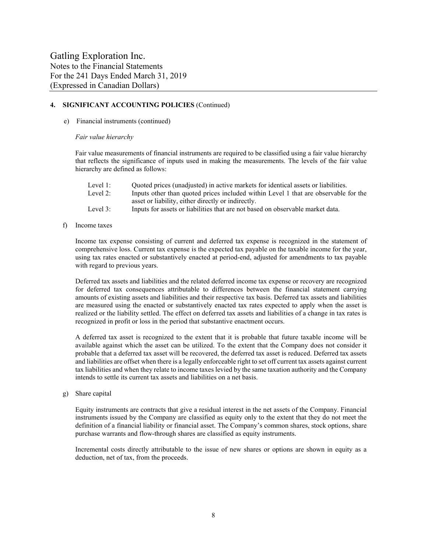#### **4. SIGNIFICANT ACCOUNTING POLICIES** (Continued)

#### e) Financial instruments (continued)

#### *Fair value hierarchy*

Fair value measurements of financial instruments are required to be classified using a fair value hierarchy that reflects the significance of inputs used in making the measurements. The levels of the fair value hierarchy are defined as follows:

| Level 1:   | Quoted prices (unadjusted) in active markets for identical assets or liabilities.   |
|------------|-------------------------------------------------------------------------------------|
| Level 2:   | Inputs other than quoted prices included within Level 1 that are observable for the |
|            | asset or liability, either directly or indirectly.                                  |
| Level $3:$ | Inputs for assets or liabilities that are not based on observable market data.      |

#### f) Income taxes

Income tax expense consisting of current and deferred tax expense is recognized in the statement of comprehensive loss. Current tax expense is the expected tax payable on the taxable income for the year, using tax rates enacted or substantively enacted at period-end, adjusted for amendments to tax payable with regard to previous years.

Deferred tax assets and liabilities and the related deferred income tax expense or recovery are recognized for deferred tax consequences attributable to differences between the financial statement carrying amounts of existing assets and liabilities and their respective tax basis. Deferred tax assets and liabilities are measured using the enacted or substantively enacted tax rates expected to apply when the asset is realized or the liability settled. The effect on deferred tax assets and liabilities of a change in tax rates is recognized in profit or loss in the period that substantive enactment occurs.

A deferred tax asset is recognized to the extent that it is probable that future taxable income will be available against which the asset can be utilized. To the extent that the Company does not consider it probable that a deferred tax asset will be recovered, the deferred tax asset is reduced. Deferred tax assets and liabilities are offset when there is a legally enforceable right to set off current tax assets against current tax liabilities and when they relate to income taxes levied by the same taxation authority and the Company intends to settle its current tax assets and liabilities on a net basis.

g) Share capital

Equity instruments are contracts that give a residual interest in the net assets of the Company. Financial instruments issued by the Company are classified as equity only to the extent that they do not meet the definition of a financial liability or financial asset. The Company's common shares, stock options, share purchase warrants and flow-through shares are classified as equity instruments.

Incremental costs directly attributable to the issue of new shares or options are shown in equity as a deduction, net of tax, from the proceeds.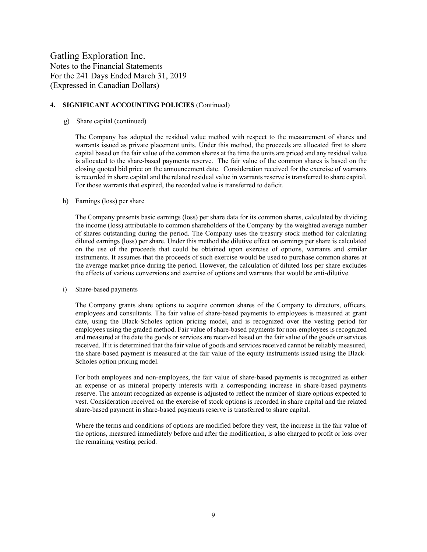#### **4. SIGNIFICANT ACCOUNTING POLICIES** (Continued)

#### g) Share capital (continued)

The Company has adopted the residual value method with respect to the measurement of shares and warrants issued as private placement units. Under this method, the proceeds are allocated first to share capital based on the fair value of the common shares at the time the units are priced and any residual value is allocated to the share-based payments reserve. The fair value of the common shares is based on the closing quoted bid price on the announcement date. Consideration received for the exercise of warrants is recorded in share capital and the related residual value in warrants reserve is transferred to share capital. For those warrants that expired, the recorded value is transferred to deficit.

#### h) Earnings (loss) per share

The Company presents basic earnings (loss) per share data for its common shares, calculated by dividing the income (loss) attributable to common shareholders of the Company by the weighted average number of shares outstanding during the period. The Company uses the treasury stock method for calculating diluted earnings (loss) per share. Under this method the dilutive effect on earnings per share is calculated on the use of the proceeds that could be obtained upon exercise of options, warrants and similar instruments. It assumes that the proceeds of such exercise would be used to purchase common shares at the average market price during the period. However, the calculation of diluted loss per share excludes the effects of various conversions and exercise of options and warrants that would be anti-dilutive.

#### i) Share-based payments

The Company grants share options to acquire common shares of the Company to directors, officers, employees and consultants. The fair value of share-based payments to employees is measured at grant date, using the Black-Scholes option pricing model, and is recognized over the vesting period for employees using the graded method. Fair value of share-based payments for non-employees is recognized and measured at the date the goods or services are received based on the fair value of the goods or services received. If it is determined that the fair value of goods and services received cannot be reliably measured, the share-based payment is measured at the fair value of the equity instruments issued using the Black-Scholes option pricing model.

For both employees and non-employees, the fair value of share-based payments is recognized as either an expense or as mineral property interests with a corresponding increase in share-based payments reserve. The amount recognized as expense is adjusted to reflect the number of share options expected to vest. Consideration received on the exercise of stock options is recorded in share capital and the related share-based payment in share-based payments reserve is transferred to share capital.

Where the terms and conditions of options are modified before they vest, the increase in the fair value of the options, measured immediately before and after the modification, is also charged to profit or loss over the remaining vesting period.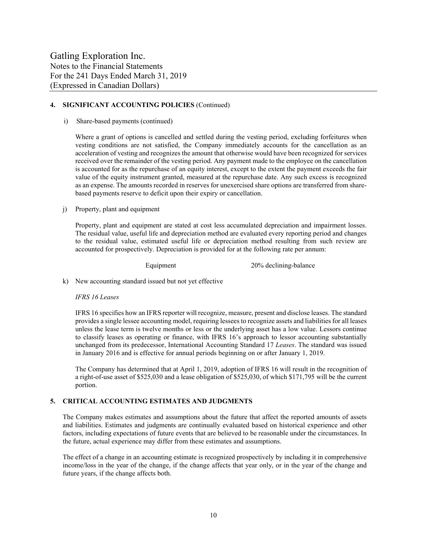# **4. SIGNIFICANT ACCOUNTING POLICIES** (Continued)

#### i) Share-based payments (continued)

Where a grant of options is cancelled and settled during the vesting period, excluding forfeitures when vesting conditions are not satisfied, the Company immediately accounts for the cancellation as an acceleration of vesting and recognizes the amount that otherwise would have been recognized for services received over the remainder of the vesting period. Any payment made to the employee on the cancellation is accounted for as the repurchase of an equity interest, except to the extent the payment exceeds the fair value of the equity instrument granted, measured at the repurchase date. Any such excess is recognized as an expense. The amounts recorded in reserves for unexercised share options are transferred from sharebased payments reserve to deficit upon their expiry or cancellation.

#### j) Property, plant and equipment

Property, plant and equipment are stated at cost less accumulated depreciation and impairment losses. The residual value, useful life and depreciation method are evaluated every reporting period and changes to the residual value, estimated useful life or depreciation method resulting from such review are accounted for prospectively. Depreciation is provided for at the following rate per annum:

Equipment 20% declining-balance

k) New accounting standard issued but not yet effective

#### *IFRS 16 Leases*

IFRS 16 specifies how an IFRS reporter will recognize, measure, present and disclose leases. The standard provides a single lessee accounting model, requiring lessees to recognize assets and liabilities for all leases unless the lease term is twelve months or less or the underlying asset has a low value. Lessors continue to classify leases as operating or finance, with IFRS 16's approach to lessor accounting substantially unchanged from its predecessor, International Accounting Standard 17 *Leases*. The standard was issued in January 2016 and is effective for annual periods beginning on or after January 1, 2019.

The Company has determined that at April 1, 2019, adoption of IFRS 16 will result in the recognition of a right-of-use asset of \$525,030 and a lease obligation of \$525,030, of which \$171,795 will be the current portion.

# **5. CRITICAL ACCOUNTING ESTIMATES AND JUDGMENTS**

The Company makes estimates and assumptions about the future that affect the reported amounts of assets and liabilities. Estimates and judgments are continually evaluated based on historical experience and other factors, including expectations of future events that are believed to be reasonable under the circumstances. In the future, actual experience may differ from these estimates and assumptions.

The effect of a change in an accounting estimate is recognized prospectively by including it in comprehensive income/loss in the year of the change, if the change affects that year only, or in the year of the change and future years, if the change affects both.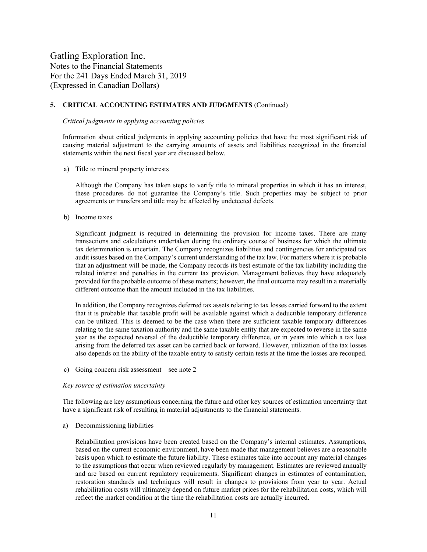#### **5. CRITICAL ACCOUNTING ESTIMATES AND JUDGMENTS** (Continued)

*Critical judgments in applying accounting policies* 

Information about critical judgments in applying accounting policies that have the most significant risk of causing material adjustment to the carrying amounts of assets and liabilities recognized in the financial statements within the next fiscal year are discussed below.

a) Title to mineral property interests

Although the Company has taken steps to verify title to mineral properties in which it has an interest, these procedures do not guarantee the Company's title. Such properties may be subject to prior agreements or transfers and title may be affected by undetected defects.

b) Income taxes

Significant judgment is required in determining the provision for income taxes. There are many transactions and calculations undertaken during the ordinary course of business for which the ultimate tax determination is uncertain. The Company recognizes liabilities and contingencies for anticipated tax audit issues based on the Company's current understanding of the tax law. For matters where it is probable that an adjustment will be made, the Company records its best estimate of the tax liability including the related interest and penalties in the current tax provision. Management believes they have adequately provided for the probable outcome of these matters; however, the final outcome may result in a materially different outcome than the amount included in the tax liabilities.

In addition, the Company recognizes deferred tax assets relating to tax losses carried forward to the extent that it is probable that taxable profit will be available against which a deductible temporary difference can be utilized. This is deemed to be the case when there are sufficient taxable temporary differences relating to the same taxation authority and the same taxable entity that are expected to reverse in the same year as the expected reversal of the deductible temporary difference, or in years into which a tax loss arising from the deferred tax asset can be carried back or forward. However, utilization of the tax losses also depends on the ability of the taxable entity to satisfy certain tests at the time the losses are recouped.

c) Going concern risk assessment – see note 2

#### *Key source of estimation uncertainty*

The following are key assumptions concerning the future and other key sources of estimation uncertainty that have a significant risk of resulting in material adjustments to the financial statements.

a) Decommissioning liabilities

Rehabilitation provisions have been created based on the Company's internal estimates. Assumptions, based on the current economic environment, have been made that management believes are a reasonable basis upon which to estimate the future liability. These estimates take into account any material changes to the assumptions that occur when reviewed regularly by management. Estimates are reviewed annually and are based on current regulatory requirements. Significant changes in estimates of contamination, restoration standards and techniques will result in changes to provisions from year to year. Actual rehabilitation costs will ultimately depend on future market prices for the rehabilitation costs, which will reflect the market condition at the time the rehabilitation costs are actually incurred.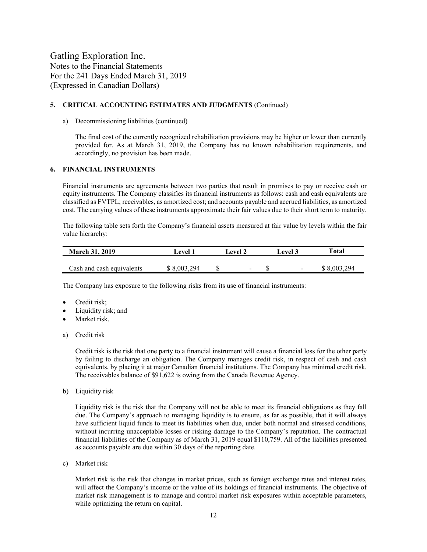## **5. CRITICAL ACCOUNTING ESTIMATES AND JUDGMENTS** (Continued)

#### a) Decommissioning liabilities (continued)

The final cost of the currently recognized rehabilitation provisions may be higher or lower than currently provided for. As at March 31, 2019, the Company has no known rehabilitation requirements, and accordingly, no provision has been made.

## **6. FINANCIAL INSTRUMENTS**

Financial instruments are agreements between two parties that result in promises to pay or receive cash or equity instruments. The Company classifies its financial instruments as follows: cash and cash equivalents are classified as FVTPL; receivables, as amortized cost; and accounts payable and accrued liabilities, as amortized cost. The carrying values of these instruments approximate their fair values due to their short term to maturity.

The following table sets forth the Company's financial assets measured at fair value by levels within the fair value hierarchy:

| <b>March 31, 2019</b>     | <b>Level 1</b> | Level 2 |                 | <b>Level</b> 3 |                          | Total        |
|---------------------------|----------------|---------|-----------------|----------------|--------------------------|--------------|
|                           |                |         |                 |                |                          |              |
| Cash and cash equivalents | \$ 8,003,294   |         | $\qquad \qquad$ |                | $\overline{\phantom{a}}$ | \$ 8,003,294 |

The Company has exposure to the following risks from its use of financial instruments:

- Credit risk;
- Liquidity risk; and
- Market risk.
- a) Credit risk

Credit risk is the risk that one party to a financial instrument will cause a financial loss for the other party by failing to discharge an obligation. The Company manages credit risk, in respect of cash and cash equivalents, by placing it at major Canadian financial institutions. The Company has minimal credit risk. The receivables balance of \$91,622 is owing from the Canada Revenue Agency.

b) Liquidity risk

Liquidity risk is the risk that the Company will not be able to meet its financial obligations as they fall due. The Company's approach to managing liquidity is to ensure, as far as possible, that it will always have sufficient liquid funds to meet its liabilities when due, under both normal and stressed conditions, without incurring unacceptable losses or risking damage to the Company's reputation. The contractual financial liabilities of the Company as of March 31, 2019 equal \$110,759. All of the liabilities presented as accounts payable are due within 30 days of the reporting date.

c) Market risk

Market risk is the risk that changes in market prices, such as foreign exchange rates and interest rates, will affect the Company's income or the value of its holdings of financial instruments. The objective of market risk management is to manage and control market risk exposures within acceptable parameters, while optimizing the return on capital.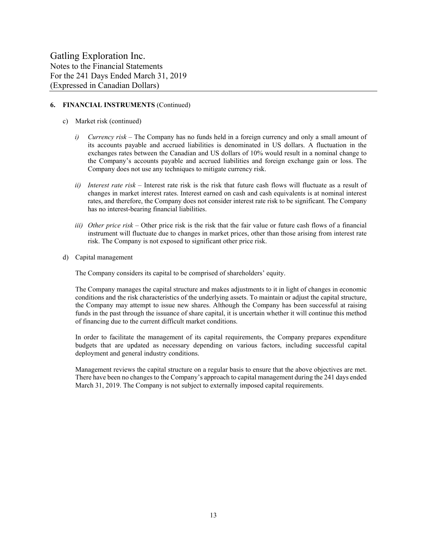#### **6. FINANCIAL INSTRUMENTS** (Continued)

- c) Market risk (continued)
	- *i) Currency risk –* The Company has no funds held in a foreign currency and only a small amount of its accounts payable and accrued liabilities is denominated in US dollars. A fluctuation in the exchanges rates between the Canadian and US dollars of 10% would result in a nominal change to the Company's accounts payable and accrued liabilities and foreign exchange gain or loss. The Company does not use any techniques to mitigate currency risk.
	- *ii) Interest rate risk –* Interest rate risk is the risk that future cash flows will fluctuate as a result of changes in market interest rates. Interest earned on cash and cash equivalents is at nominal interest rates, and therefore, the Company does not consider interest rate risk to be significant. The Company has no interest-bearing financial liabilities.
	- *iii) Other price risk –* Other price risk is the risk that the fair value or future cash flows of a financial instrument will fluctuate due to changes in market prices, other than those arising from interest rate risk. The Company is not exposed to significant other price risk.
- d) Capital management

The Company considers its capital to be comprised of shareholders' equity.

The Company manages the capital structure and makes adjustments to it in light of changes in economic conditions and the risk characteristics of the underlying assets. To maintain or adjust the capital structure, the Company may attempt to issue new shares. Although the Company has been successful at raising funds in the past through the issuance of share capital, it is uncertain whether it will continue this method of financing due to the current difficult market conditions.

In order to facilitate the management of its capital requirements, the Company prepares expenditure budgets that are updated as necessary depending on various factors, including successful capital deployment and general industry conditions.

Management reviews the capital structure on a regular basis to ensure that the above objectives are met. There have been no changes to the Company's approach to capital management during the 241 days ended March 31, 2019. The Company is not subject to externally imposed capital requirements.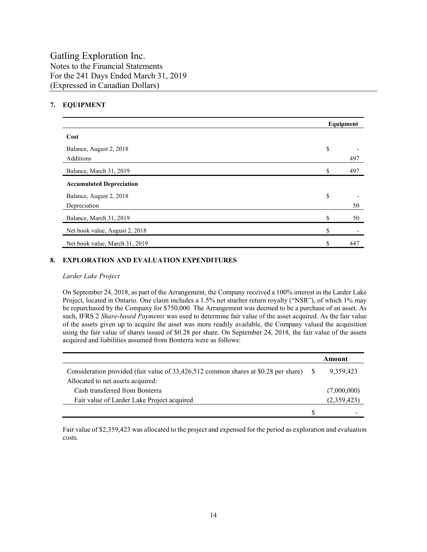# **7. EQUIPMENT**

|                                 |    | Equipment |
|---------------------------------|----|-----------|
| Cost                            |    |           |
| Balance, August 2, 2018         | \$ |           |
| Additions                       |    | 497       |
| Balance, March 31, 2019         | \$ | 497       |
| <b>Accumulated Depreciation</b> |    |           |
| Balance, August 2, 2018         | \$ |           |
| Depreciation                    |    | 50        |
| Balance, March 31, 2019         | \$ | 50        |
| Net book value, August 2, 2018  | \$ |           |
| Net book value, March 31, 2019  | S  | 447       |

# **8. EXPLORATION AND EVALUATION EXPENDITURES**

#### *Larder Lake Project*

On September 24, 2018, as part of the Arrangement, the Company received a 100% interest in the Larder Lake Project, located in Ontario. One claim includes a 1.5% net smelter return royalty ("NSR"), of which 1% may be repurchased by the Company for \$750,000. The Arrangement was deemed to be a purchase of an asset. As such, IFRS 2 *Share-based Payments* was used to determine fair value of the asset acquired. As the fair value of the assets given up to acquire the asset was more readily available, the Company valued the acquisition using the fair value of shares issued of \$0.28 per share. On September 24, 2018, the fair value of the assets acquired and liabilities assumed from Bonterra were as follows:

|                                                                                     |     | Amount      |
|-------------------------------------------------------------------------------------|-----|-------------|
| Consideration provided (fair value of 33,426,512 common shares at \$0.28 per share) |     | 9,359,423   |
| Allocated to net assets acquired:                                                   |     |             |
| Cash transferred from Bonterra                                                      |     | (7,000,000) |
| Fair value of Larder Lake Project acquired                                          |     | (2,359,423) |
|                                                                                     | \$. |             |

Fair value of \$2,359,423 was allocated to the project and expensed for the period as exploration and evaluation costs.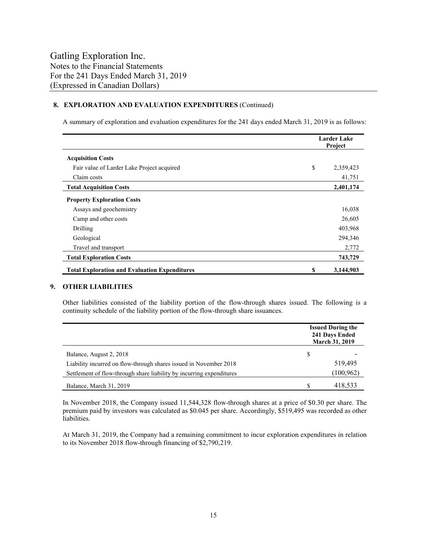# **8. EXPLORATION AND EVALUATION EXPENDITURES** (Continued)

A summary of exploration and evaluation expenditures for the 241 days ended March 31, 2019 is as follows:

|                                                      |    | <b>Larder Lake</b><br><b>Project</b> |
|------------------------------------------------------|----|--------------------------------------|
| <b>Acquisition Costs</b>                             |    |                                      |
| Fair value of Larder Lake Project acquired           | \$ | 2,359,423                            |
| Claim costs                                          |    | 41,751                               |
| <b>Total Acquisition Costs</b>                       |    | 2,401,174                            |
| <b>Property Exploration Costs</b>                    |    |                                      |
| Assays and geochemistry                              |    | 16,038                               |
| Camp and other costs                                 |    | 26,605                               |
| Drilling                                             |    | 403,968                              |
| Geological                                           |    | 294,346                              |
| Travel and transport                                 |    | 2,772                                |
| <b>Total Exploration Costs</b>                       |    | 743,729                              |
| <b>Total Exploration and Evaluation Expenditures</b> | S  | 3,144,903                            |

#### **9. OTHER LIABILITIES**

Other liabilities consisted of the liability portion of the flow-through shares issued. The following is a continuity schedule of the liability portion of the flow-through share issuances.

|                                                                      | <b>Issued During the</b><br>241 Days Ended<br><b>March 31, 2019</b> |            |
|----------------------------------------------------------------------|---------------------------------------------------------------------|------------|
| Balance, August 2, 2018                                              | S                                                                   |            |
| Liability incurred on flow-through shares issued in November 2018    |                                                                     | 519,495    |
| Settlement of flow-through share liability by incurring expenditures |                                                                     | (100, 962) |
| Balance, March 31, 2019                                              |                                                                     | 418.533    |

In November 2018, the Company issued 11,544,328 flow-through shares at a price of \$0.30 per share. The premium paid by investors was calculated as \$0.045 per share. Accordingly, \$519,495 was recorded as other liabilities.

At March 31, 2019, the Company had a remaining commitment to incur exploration expenditures in relation to its November 2018 flow-through financing of \$2,790,219.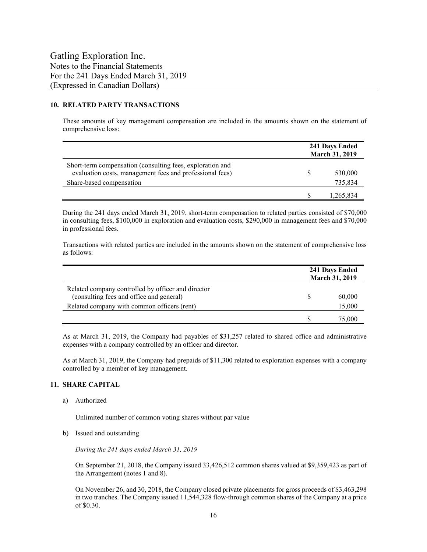#### **10. RELATED PARTY TRANSACTIONS**

These amounts of key management compensation are included in the amounts shown on the statement of comprehensive loss:

|                                                                                                                       | 241 Days Ended<br><b>March 31, 2019</b> |           |
|-----------------------------------------------------------------------------------------------------------------------|-----------------------------------------|-----------|
| Short-term compensation (consulting fees, exploration and<br>evaluation costs, management fees and professional fees) |                                         | 530,000   |
| Share-based compensation                                                                                              |                                         | 735,834   |
|                                                                                                                       |                                         | 1,265,834 |

During the 241 days ended March 31, 2019, short-term compensation to related parties consisted of \$70,000 in consulting fees, \$100,000 in exploration and evaluation costs, \$290,000 in management fees and \$70,000 in professional fees.

Transactions with related parties are included in the amounts shown on the statement of comprehensive loss as follows:

|                                                                                                | 241 Days Ended<br><b>March 31, 2019</b> |        |
|------------------------------------------------------------------------------------------------|-----------------------------------------|--------|
| Related company controlled by officer and director<br>(consulting fees and office and general) |                                         | 60,000 |
| Related company with common officers (rent)                                                    |                                         | 15,000 |
|                                                                                                |                                         | 75,000 |

As at March 31, 2019, the Company had payables of \$31,257 related to shared office and administrative expenses with a company controlled by an officer and director.

As at March 31, 2019, the Company had prepaids of \$11,300 related to exploration expenses with a company controlled by a member of key management.

#### **11. SHARE CAPITAL**

a) Authorized

Unlimited number of common voting shares without par value

b) Issued and outstanding

*During the 241 days ended March 31, 2019*

On September 21, 2018, the Company issued 33,426,512 common shares valued at \$9,359,423 as part of the Arrangement (notes 1 and 8).

On November 26, and 30, 2018, the Company closed private placements for gross proceeds of \$3,463,298 in two tranches. The Company issued 11,544,328 flow-through common shares of the Company at a price of \$0.30.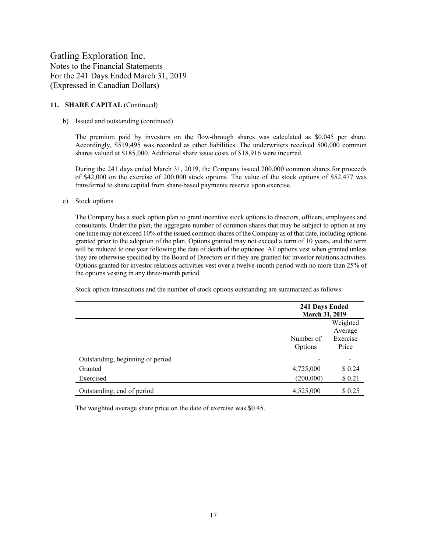#### **11. SHARE CAPITAL** (Continued)

b) Issued and outstanding (continued)

The premium paid by investors on the flow-through shares was calculated as \$0.045 per share. Accordingly, \$519,495 was recorded as other liabilities. The underwriters received 500,000 common shares valued at \$185,000. Additional share issue costs of \$18,916 were incurred.

During the 241 days ended March 31, 2019, the Company issued 200,000 common shares for proceeds of \$42,000 on the exercise of 200,000 stock options. The value of the stock options of \$52,477 was transferred to share capital from share-based payments reserve upon exercise.

c) Stock options

The Company has a stock option plan to grant incentive stock options to directors, officers, employees and consultants. Under the plan, the aggregate number of common shares that may be subject to option at any one time may not exceed 10% of the issued common shares of the Company as of that date, including options granted prior to the adoption of the plan. Options granted may not exceed a term of 10 years, and the term will be reduced to one year following the date of death of the optionee. All options vest when granted unless they are otherwise specified by the Board of Directors or if they are granted for investor relations activities. Options granted for investor relations activities vest over a twelve-month period with no more than 25% of the options vesting in any three-month period.

Stock option transactions and the number of stock options outstanding are summarized as follows:

|                                  | 241 Days Ended<br><b>March 31, 2019</b> |                     |
|----------------------------------|-----------------------------------------|---------------------|
|                                  |                                         | Weighted<br>Average |
|                                  | Number of                               | Exercise            |
|                                  | Options                                 | Price               |
| Outstanding, beginning of period |                                         |                     |
| Granted                          | 4,725,000                               | \$0.24              |
| Exercised                        | (200,000)                               | \$0.21              |
| Outstanding, end of period       | 4,525,000                               | \$0.25              |

The weighted average share price on the date of exercise was \$0.45.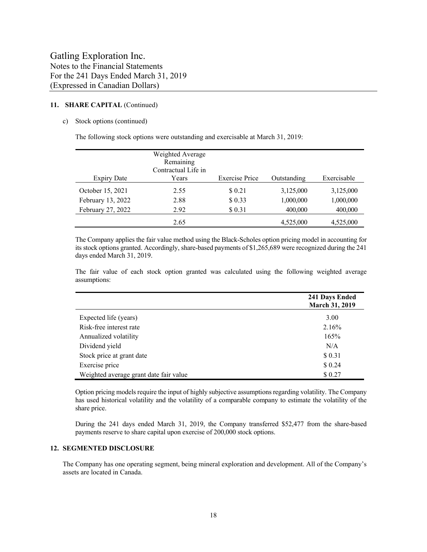## **11. SHARE CAPITAL** (Continued)

#### c) Stock options (continued)

The following stock options were outstanding and exercisable at March 31, 2019:

| <b>Expiry Date</b> | Weighted Average<br>Remaining<br>Contractual Life in<br>Years | <b>Exercise Price</b> | Outstanding | Exercisable |
|--------------------|---------------------------------------------------------------|-----------------------|-------------|-------------|
| October 15, 2021   | 2.55                                                          | \$0.21                | 3,125,000   | 3,125,000   |
| February 13, 2022  | 2.88                                                          | \$0.33                | 1,000,000   | 1,000,000   |
| February 27, 2022  | 2.92                                                          | \$ 0.31               | 400,000     | 400,000     |
|                    | 2.65                                                          |                       | 4,525,000   | 4,525,000   |

The Company applies the fair value method using the Black-Scholes option pricing model in accounting for its stock options granted. Accordingly, share-based payments of \$1,265,689 were recognized during the 241 days ended March 31, 2019.

The fair value of each stock option granted was calculated using the following weighted average assumptions:

|                                        | 241 Days Ended<br>March 31, 2019 |
|----------------------------------------|----------------------------------|
| Expected life (years)                  | 3.00                             |
| Risk-free interest rate                | 2.16%                            |
| Annualized volatility                  | 165%                             |
| Dividend yield                         | N/A                              |
| Stock price at grant date              | \$0.31                           |
| Exercise price                         | \$0.24                           |
| Weighted average grant date fair value | \$0.27                           |

Option pricing models require the input of highly subjective assumptions regarding volatility. The Company has used historical volatility and the volatility of a comparable company to estimate the volatility of the share price.

During the 241 days ended March 31, 2019, the Company transferred \$52,477 from the share-based payments reserve to share capital upon exercise of 200,000 stock options.

# **12. SEGMENTED DISCLOSURE**

 $\overline{a}$ 

The Company has one operating segment, being mineral exploration and development. All of the Company's assets are located in Canada.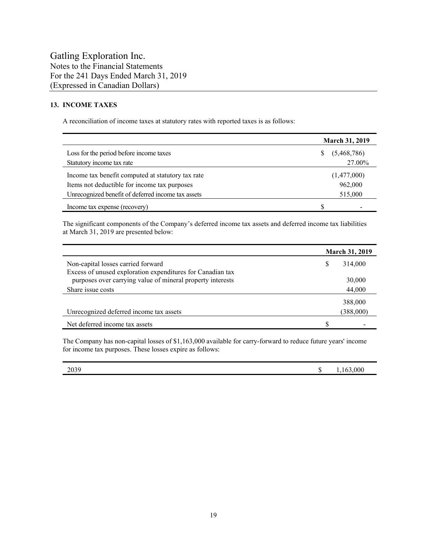# **13. INCOME TAXES**

A reconciliation of income taxes at statutory rates with reported taxes is as follows:

|                                                                      | <b>March 31, 2019</b> |
|----------------------------------------------------------------------|-----------------------|
| Loss for the period before income taxes<br>Statutory income tax rate | (5,468,786)<br>27.00% |
| Income tax benefit computed at statutory tax rate                    | (1,477,000)           |
| Items not deductible for income tax purposes                         | 962,000               |
| Unrecognized benefit of deferred income tax assets                   | 515,000               |
| Income tax expense (recovery)                                        |                       |

The significant components of the Company's deferred income tax assets and deferred income tax liabilities at March 31, 2019 are presented below:

|                                                            | <b>March 31, 2019</b> |
|------------------------------------------------------------|-----------------------|
| Non-capital losses carried forward                         | 314,000               |
| Excess of unused exploration expenditures for Canadian tax |                       |
| purposes over carrying value of mineral property interests | 30,000                |
| Share issue costs                                          | 44,000                |
|                                                            | 388,000               |
| Unrecognized deferred income tax assets                    | (388,000)             |
| Net deferred income tax assets                             |                       |

The Company has non-capital losses of \$1,163,000 available for carry-forward to reduce future years' income for income tax purposes. These losses expire as follows:

| 2039 | w | 1,163,000 |
|------|---|-----------|
|------|---|-----------|